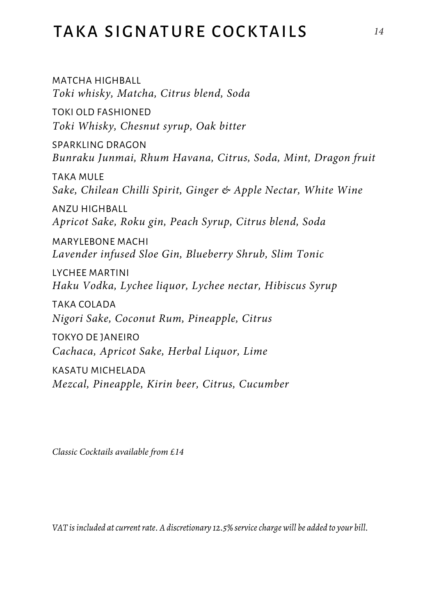## TAKA SIGNATURE COCKTAILS *<sup>14</sup>*

MATCHA HIGHBALL *Toki whisky, Matcha, Citrus blend, Soda* TOKI OLD FASHIONED *Toki Whisky, Chesnut syrup, Oak bitter* SPARKLING DRAGON *Bunraku Junmai, Rhum Havana, Citrus, Soda, Mint, Dragon fruit* TAKA MULE *Sake, Chilean Chilli Spirit, Ginger & Apple Nectar, White Wine* ANZU HIGHBALL *Apricot Sake, Roku gin, Peach Syrup, Citrus blend, Soda* MARYLEBONE MACHI *Lavender infused Sloe Gin, Blueberry Shrub, Slim Tonic* LYCHEE MARTINI *Haku Vodka, Lychee liquor, Lychee nectar, Hibiscus Syrup* TAKA COLADA *Nigori Sake, Coconut Rum, Pineapple, Citrus* TOKYO DE JANEIRO *Cachaca, Apricot Sake, Herbal Liquor, Lime* KASATU MICHELADA *Mezcal, Pineapple, Kirin beer, Citrus, Cucumber*

*Classic Cocktails available from £14*

*VAT is included at current rate. A discretionary 12.5% service charge will be added to your bill.*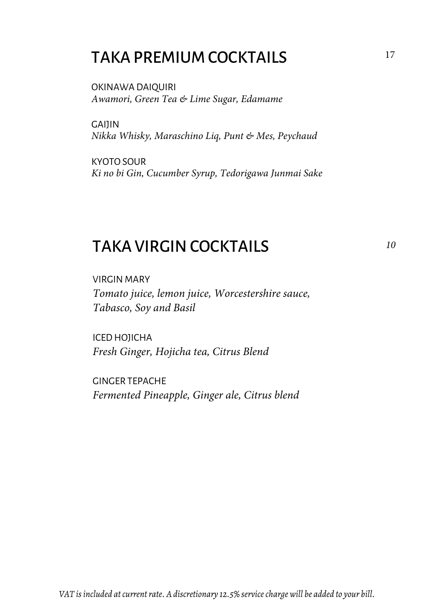## TAKA PREMIUM COCKTAILS

OKINAWA DAIQUIRI *Awamori, Green Tea & Lime Sugar, Edamame*

**CAILIN** *Nikka Whisky, Maraschino Liq, Punt & Mes, Peychaud*

KYOTO SOUR *Ki no bi Gin, Cucumber Syrup, Tedorigawa Junmai Sake*

### TAKA VIRGIN COCKTAILS

VIRGIN MARY *Tomato juice, lemon juice, Worcestershire sauce, Tabasco, Soy and Basil*

ICED HOJICHA *Fresh Ginger, Hojicha tea, Citrus Blend*

GINGER TEPACHE *Fermented Pineapple, Ginger ale, Citrus blend*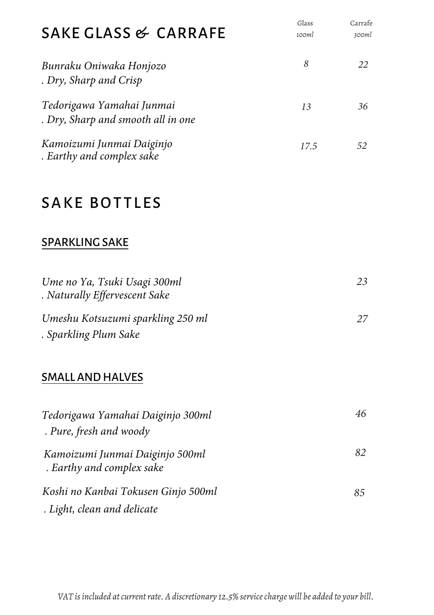| SAKE GLASS & CARRAFE                                            | Glass<br>100ml | Carrafe<br>300ml |
|-----------------------------------------------------------------|----------------|------------------|
| Bunraku Oniwaka Honjozo<br>. Dry, Sharp and Crisp               | 8              | 22               |
| Tedorigawa Yamahai Junmai<br>. Dry, Sharp and smooth all in one | 13             | 36               |
| Kamoizumi Junmai Daiginjo<br>. Earthy and complex sake          | 17.5           | 52               |
| <b>SAKE BOTTLES</b>                                             |                |                  |
| <b>SPARKLING SAKE</b>                                           |                |                  |
| Ume no Ya, Tsuki Usagi 300ml<br>. Naturally Effervescent Sake   |                | 23               |
| Umeshu Kotsuzumi sparkling 250 ml<br>. Sparkling Plum Sake      |                | 27               |
| <b>SMALL AND HALVES</b>                                         |                |                  |
| Tedorigawa Yamahai Daiginjo 300ml<br>. Pure, fresh and woody    |                | 46               |
| Kamoizumi Junmai Daiginjo 500ml<br>. Earthy and complex sake    |                | 82               |
| Koshi no Kanbai Tokusen Ginjo 500ml                             |                | 85               |

 *. Light, clean and delicate*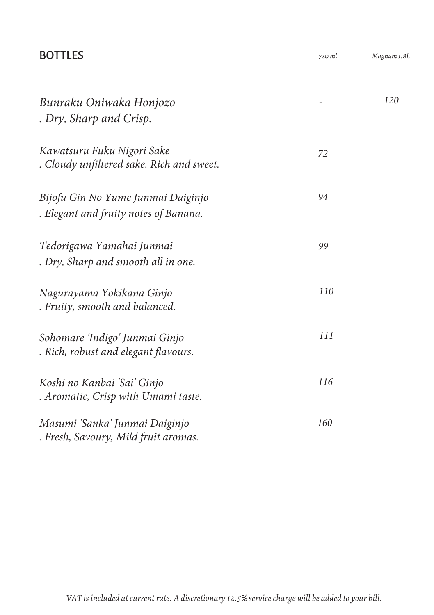### BOTTLES *720 ml*

| Bunraku Oniwaka Honjozo<br>. Dry, Sharp and Crisp.                          |     | 120 |
|-----------------------------------------------------------------------------|-----|-----|
| Kawatsuru Fuku Nigori Sake<br>. Cloudy unfiltered sake. Rich and sweet.     | 72  |     |
| Bijofu Gin No Yume Junmai Daiginjo<br>. Elegant and fruity notes of Banana. | 94  |     |
| Tedorigawa Yamahai Junmai<br>. Dry, Sharp and smooth all in one.            | 99  |     |
| Nagurayama Yokikana Ginjo<br>. Fruity, smooth and balanced.                 | 110 |     |
| Sohomare 'Indigo' Junmai Ginjo<br>. Rich, robust and elegant flavours.      | 111 |     |
| Koshi no Kanbai 'Sai' Ginjo<br>. Aromatic, Crisp with Umami taste.          | 116 |     |
| Masumi 'Sanka' Junmai Daiginjo<br>. Fresh, Savoury, Mild fruit aromas.      | 160 |     |

*Magnum 1.8L*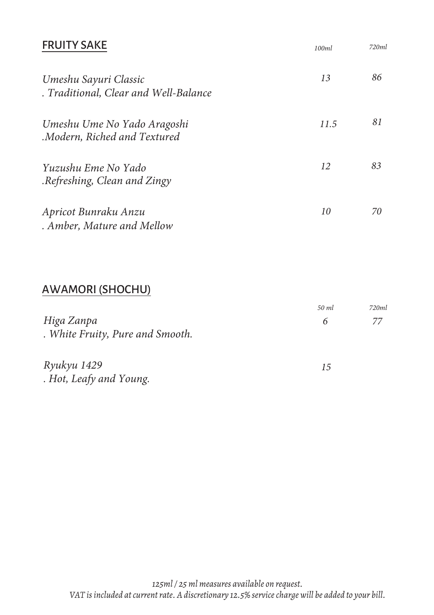| <b>FRUITY SAKE</b>                                             | 100ml | 720ml |
|----------------------------------------------------------------|-------|-------|
| Umeshu Sayuri Classic<br>. Traditional, Clear and Well-Balance | 13    | 86    |
| Umeshu Ume No Yado Aragoshi<br>Modern, Riched and Textured.    | 11.5  | 81    |
| Yuzushu Eme No Yado<br>Refreshing, Clean and Zingy.            | 12    | 83    |
| Apricot Bunraku Anzu<br>. Amber, Mature and Mellow             | 10    | 70    |

### A W AMORI (SHOCHU)

|                                  | 50 ml | 720ml |
|----------------------------------|-------|-------|
| Higa Zanpa                       | 6     | 77    |
| . White Fruity, Pure and Smooth. |       |       |
| Ryukyu 1429                      | 15    |       |
| . Hot, Leafy and Young.          |       |       |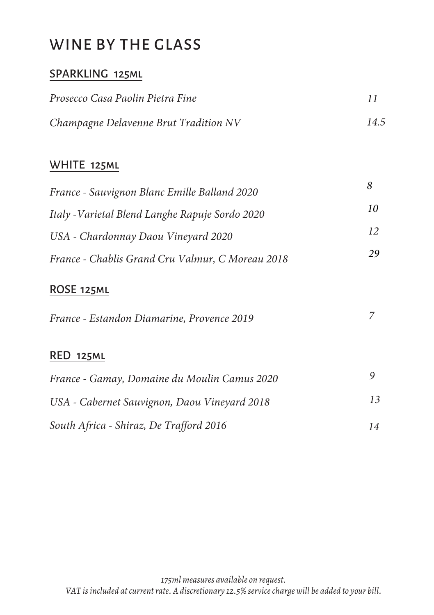## WINE BY THE GLASS

### SPARKLING 125ml

| Prosecco Casa Paolin Pietra Fine      |      |
|---------------------------------------|------|
| Champagne Delavenne Brut Tradition NV | 14.5 |

### WHITE 125ml

| France - Sauvignon Blanc Emille Balland 2020     | 8  |
|--------------------------------------------------|----|
| Italy - Varietal Blend Langhe Rapuje Sordo 2020  | 10 |
| USA - Chardonnay Daou Vineyard 2020              | 12 |
| France - Chablis Grand Cru Valmur, C Moreau 2018 | 29 |

### ROSE 125ml

| France - Estandon Diamarine, Provence 2019   |    |
|----------------------------------------------|----|
| <b>RED 125ML</b>                             |    |
| France - Gamay, Domaine du Moulin Camus 2020 |    |
| USA - Cabernet Sauvignon, Daou Vineyard 2018 | 13 |
| South Africa - Shiraz, De Trafford 2016      | 14 |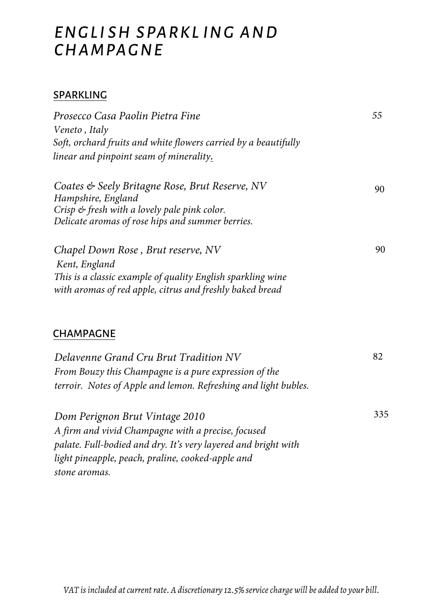## *ENGLI SH SPARKL ING AND CHAMPAGNE*

#### SPARKLING

| Prosecco Casa Paolin Pietra Fine                                     | 55  |
|----------------------------------------------------------------------|-----|
| Veneto, Italy                                                        |     |
| Soft, orchard fruits and white flowers carried by a beautifully      |     |
| linear and pinpoint seam of minerality.                              |     |
| Coates & Seely Britagne Rose, Brut Reserve, NV<br>Hampshire, England | 90. |
| Crisp & fresh with a lovely pale pink color.                         |     |
| Delicate aromas of rose hips and summer berries.                     |     |
| Chapel Down Rose, Brut reserve, NV                                   | 90  |
| Kent, England                                                        |     |
| This is a classic example of quality English sparkling wine          |     |
| with aromas of red apple, citrus and freshly baked bread             |     |
|                                                                      |     |

#### CHAMPAGNE

| Delavenne Grand Cru Brut Tradition NV                           | 82  |
|-----------------------------------------------------------------|-----|
| From Bouzy this Champagne is a pure expression of the           |     |
| terroir. Notes of Apple and lemon. Refreshing and light bubles. |     |
| Dom Perignon Brut Vintage 2010                                  | 335 |
| A firm and vivid Champagne with a precise, focused              |     |
| palate. Full-bodied and dry. It's very layered and bright with  |     |
| light pineapple, peach, praline, cooked-apple and               |     |

*stone aromas.*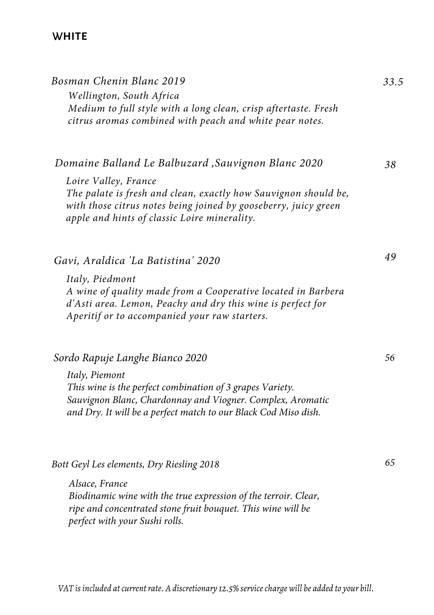### W**HITE**

| Bosman Chenin Blanc 2019<br>Wellington, South Africa<br>Medium to full style with a long clean, crisp aftertaste. Fresh<br>citrus aromas combined with peach and white pear notes.                                                                                | 33.5 |
|-------------------------------------------------------------------------------------------------------------------------------------------------------------------------------------------------------------------------------------------------------------------|------|
| Domaine Balland Le Balbuzard , Sauvignon Blanc 2020<br>Loire Valley, France<br>The palate is fresh and clean, exactly how Sauvignon should be,<br>with those citrus notes being joined by gooseberry, juicy green<br>apple and hints of classic Loire minerality. | 38   |
| Gavi, Araldica 'La Batistina' 2020<br>Italy, Piedmont<br>A wine of quality made from a Cooperative located in Barbera<br>d'Asti area. Lemon, Peachy and dry this wine is perfect for<br>Aperitif or to accompanied your raw starters.                             | 49   |
| Sordo Rapuje Langhe Bianco 2020<br>Italy, Piemont<br>This wine is the perfect combination of 3 grapes Variety.<br>Sauvignon Blanc, Chardonnay and Viogner. Complex, Aromatic<br>and Dry. It will be a perfect match to our Black Cod Miso dish.                   | 56   |
| Bott Geyl Les elements, Dry Riesling 2018<br>Alsace, France<br>Biodinamic wine with the true expression of the terroir. Clear,<br>ripe and concentrated stone fruit bouquet. This wine will be<br>perfect with your Sushi rolls.                                  | 65   |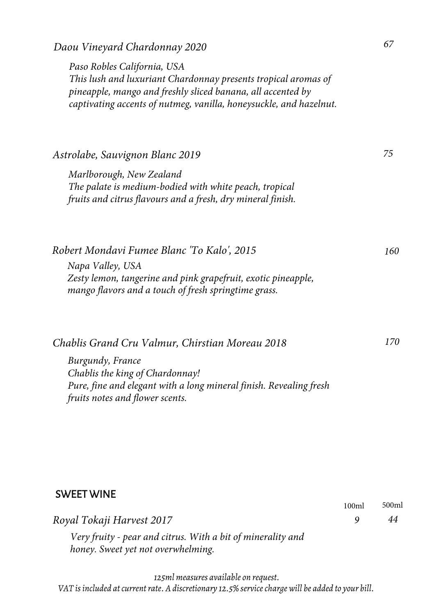*Daou Vineyard Chardonnay 2020 67*

*Paso Robles California, USA This lush and luxuriant Chardonnay presents tropical aromas of pineapple, mango and freshly sliced banana, all accented by captivating accents of nutmeg, vanilla, honeysuckle, and hazelnut.*

*Astrolabe, Sauvignon Blanc 2019 Marlborough, New Zealand*

*The palate is medium-bodied with white peach, tropical fruits and citrus flavours and a fresh, dry mineral finish.*

*Robert Mondavi Fumee Blanc 'To Kalo', 2015 <sup>160</sup> Napa Valley, USA Zesty lemon, tangerine and pink grapefruit, exotic pineapple, mango flavors and a touch of fresh springtime grass.*

*Chablis Grand Cru Valmur, Chirstian Moreau 2018 170 Burgundy, France Chablis the king of Chardonnay!*

*Pure, fine and elegant with a long mineral finish. Revealing fresh fruits notes and flower scents.*

#### SWEET WINE

*Royal Tokaji Harvest 2017 9 44*

*Very fruity - pear and citrus. With a bit of minerality and honey. Sweet yet not overwhelming.*

*125ml measures available on request. VAT is included at current rate. A discretionary 12.5% service charge will be added to your bill.* *75*

100ml 500ml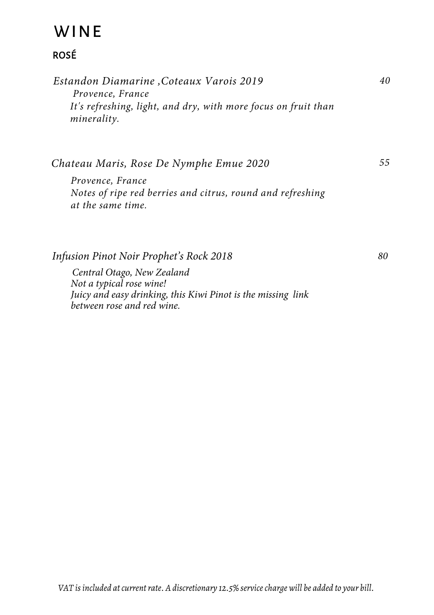## **WINE**

### ROSÉ

| Estandon Diamarine , Coteaux Varois 2019                       | 40 |
|----------------------------------------------------------------|----|
| Provence, France                                               |    |
| It's refreshing, light, and dry, with more focus on fruit than |    |
| minerality.                                                    |    |

*Chateau Maris, Rose De Nymphe Emue 2020*

*Provence, France Notes of ripe red berries and citrus, round and refreshing at the same time.*

*Infusion Pinot Noir Prophet's Rock 2018*

*Central Otago, New Zealand Not a typical rose wine! Juicy and easy drinking, this Kiwi Pinot is the missing link between rose and red wine.*

*80*

*55*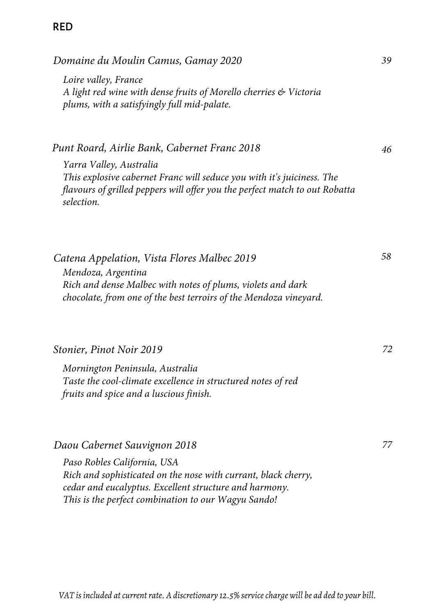#### RED

*Domaine du Moulin Camus, Gamay 2020*

*Loire valley, France A light red wine with dense fruits of Morello cherries & Victoria plums, with a satisfyingly full mid-palate.* 

*Punt Roard, Airlie Bank, Cabernet Franc 2018*

*Yarra Valley, Australia This explosive cabernet Franc will seduce you with it's juiciness. The flavours of grilled peppers will offer you the perfect match to out Robatta selection.* 

*Catena Appelation, Vista Flores Malbec 2019 Mendoza, Argentina Rich and dense Malbec with notes of plums, violets and dark chocolate, from one of the best terroirs of the Mendoza vineyard.*

#### *Stonier, Pinot Noir 2019*

*Mornington Peninsula, Australia Taste the cool-climate excellence in structured notes of red fruits and spice and a luscious finish.*

*Daou Cabernet Sauvignon 2018*

*Paso Robles California, USA Rich and sophisticated on the nose with currant, black cherry, cedar and eucalyptus. Excellent structure and harmony. This is the perfect combination to our Wagyu Sando!*

*39*

*46*

*58*

*77*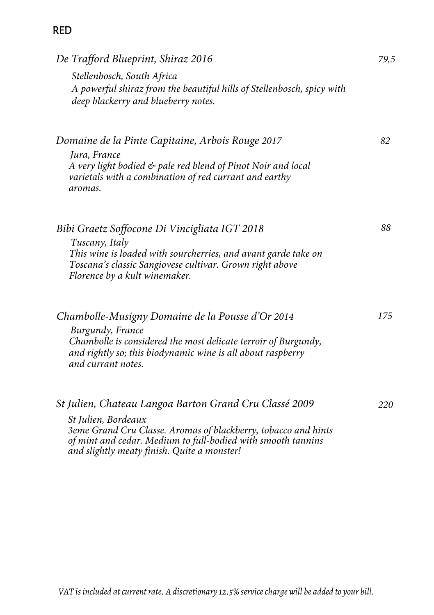### RED

| De Trafford Blueprint, Shiraz 2016                                                                                                                                                                                                                             | 79,5 |
|----------------------------------------------------------------------------------------------------------------------------------------------------------------------------------------------------------------------------------------------------------------|------|
| Stellenbosch, South Africa<br>A powerful shiraz from the beautiful hills of Stellenbosch, spicy with<br>deep blackerry and blueberry notes.                                                                                                                    |      |
| Domaine de la Pinte Capitaine, Arbois Rouge 2017<br>Jura, France<br>A very light bodied & pale red blend of Pinot Noir and local<br>varietals with a combination of red currant and earthy<br>aromas.                                                          | 82   |
| Bibi Graetz Soffocone Di Vincigliata IGT 2018<br>Tuscany, Italy<br>This wine is loaded with sourcherries, and avant garde take on<br>Toscana's classic Sangiovese cultivar. Grown right above<br>Florence by a kult winemaker.                                 | 88   |
| Chambolle-Musigny Domaine de la Pousse d'Or 2014<br>Burgundy, France<br>Chambolle is considered the most delicate terroir of Burgundy,<br>and rightly so; this biodynamic wine is all about raspberry<br>and currant notes.                                    | 175  |
| St Julien, Chateau Langoa Barton Grand Cru Classé 2009<br>St Julien, Bordeaux<br>3eme Grand Cru Classe. Aromas of blackberry, tobacco and hints<br>of mint and cedar. Medium to full-bodied with smooth tannins<br>and slightly meaty finish. Quite a monster! | 220  |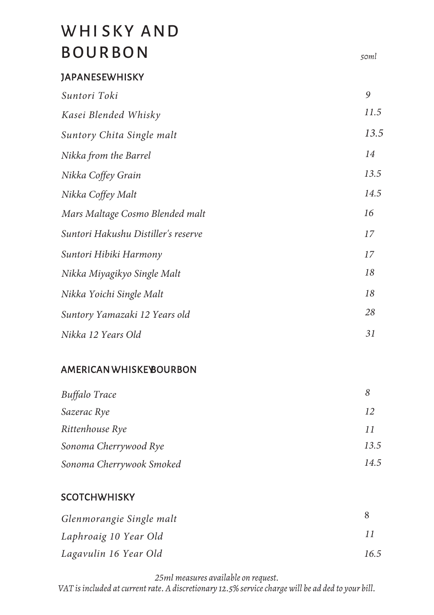## WHISKY AND BO URBON

### **JAPANESEWHISKY**

| Suntori Toki                        | 9    |
|-------------------------------------|------|
| Kasei Blended Whisky                | 11.5 |
| Suntory Chita Single malt           | 13.5 |
| Nikka from the Barrel               | 14   |
| Nikka Coffey Grain                  | 13.5 |
| Nikka Coffey Malt                   | 14.5 |
| Mars Maltage Cosmo Blended malt     | 16   |
| Suntori Hakushu Distiller's reserve | 17   |
| Suntori Hibiki Harmony              | 17   |
| Nikka Miyagikyo Single Malt         | 18   |
| Nikka Yoichi Single Malt            | 18   |
| Suntory Yamazaki 12 Years old       | 28   |
| Nikka 12 Years Old                  | 31   |

*50ml*

#### AMERICANW HISKEYBOURBON

| Buffalo Trace            |      |
|--------------------------|------|
| Sazerac Rye              | 12   |
| Rittenhouse Rye          | 11   |
| Sonoma Cherrywood Rye    | 13.5 |
| Sonoma Cherrywook Smoked | 14.5 |

#### **SCOTCHWHISKY**

| Glenmorangie Single malt |      |
|--------------------------|------|
| Laphroaig 10 Year Old    |      |
| Lagavulin 16 Year Old    | 16.5 |

*25ml measures available on request. VAT is included at current rate. A discretionary 12.5% service charge will be ad ded to your bill.*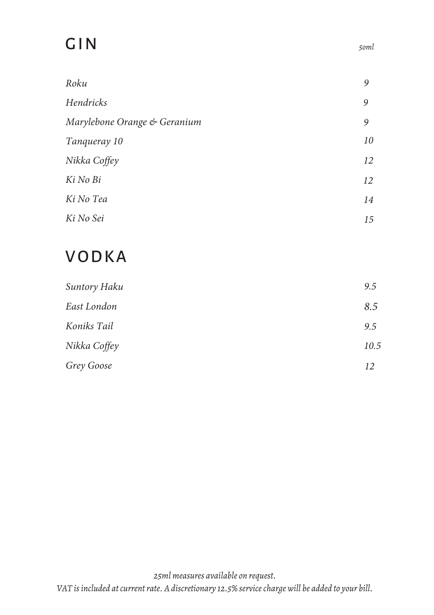# GIN

| Roku                         | 9  |
|------------------------------|----|
| Hendricks                    | 9  |
| Marylebone Orange & Geranium | 9  |
| Tanqueray 10                 | 10 |
| Nikka Coffey                 | 12 |
| Ki No Bi                     | 12 |
| Ki No Tea                    | 14 |
| Ki No Sei                    | 15 |

## VODKA

| Suntory Haku | 9.5  |
|--------------|------|
| East London  | 8.5  |
| Koniks Tail  | 9.5  |
| Nikka Coffey | 10.5 |
| Grey Goose   | 12   |

*5oml*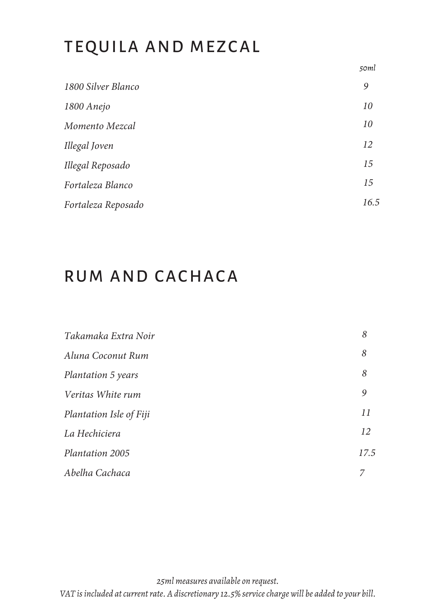## TEQUILA AND MEZCAL

*50ml*

| 1800 Silver Blanco | 9    |
|--------------------|------|
| 1800 Anejo         | 10   |
| Momento Mezcal     | 10   |
| Illegal Joven      | 12   |
| Illegal Reposado   | 15   |
| Fortaleza Blanco   | 15   |
| Fortaleza Reposado | 16.5 |

## RUM AND CACHACA

| Takamaka Extra Noir       | 8    |
|---------------------------|------|
| Aluna Coconut Rum         | 8    |
| <b>Plantation 5 years</b> | 8    |
| Veritas White rum         | 9    |
| Plantation Isle of Fiji   | 11   |
| La Hechiciera             | 12   |
| Plantation 2005           | 17.5 |
| Abelha Cachaca            | 7    |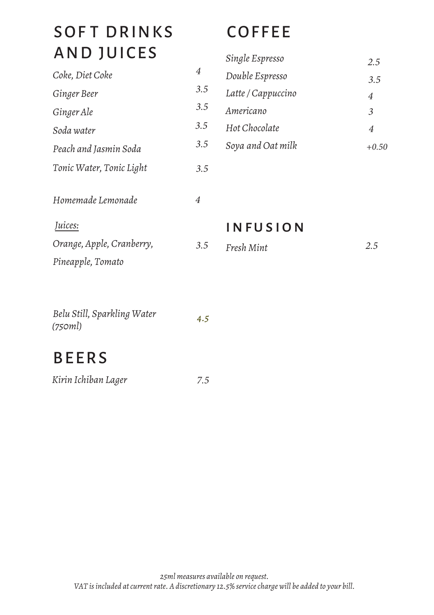# SOFT DRINKS AND JUICES

| Coke, Diet Coke           | 4   |
|---------------------------|-----|
| Ginger Beer               | 3.5 |
| Ginger Ale                | 3.5 |
| Soda water                | 3.5 |
| Peach and Jasmin Soda     | 3.5 |
| Tonic Water, Tonic Light  | 3.5 |
| Homemade Lemonade         | 4   |
| Juices:                   |     |
| Orange, Apple, Cranberry, | 3.5 |

# **COFFEE**

| Single Espresso    | 2.5 |
|--------------------|-----|
| Double Espresso    | 3.5 |
| Latte / Cappuccino | 4   |
| Americano          | 3   |
| Hot Chocolate      | 4   |
| Soya and Oat milk  |     |

**INFUSION** 

*Fresh Mint*

*2.5*

| Belu Still, Sparkling Water | 4.5 |
|-----------------------------|-----|
| (750ml)                     |     |

# BEERS

*Pineapple, Tomato*

| Kirin Ichiban Lager | 7.5 |
|---------------------|-----|
|---------------------|-----|